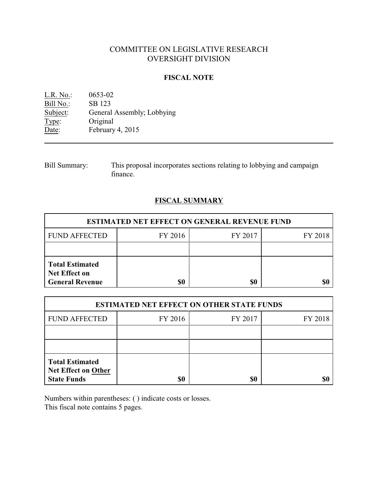## COMMITTEE ON LEGISLATIVE RESEARCH OVERSIGHT DIVISION

#### **FISCAL NOTE**

L.R. No.: 0653-02 Bill No.: SB 123<br>Subject: General General Assembly; Lobbying Type: Original Date: February 4, 2015

Bill Summary: This proposal incorporates sections relating to lobbying and campaign finance.

#### **FISCAL SUMMARY**

| <b>ESTIMATED NET EFFECT ON GENERAL REVENUE FUND</b>                      |         |         |         |  |
|--------------------------------------------------------------------------|---------|---------|---------|--|
| <b>FUND AFFECTED</b>                                                     | FY 2016 | FY 2017 | FY 2018 |  |
|                                                                          |         |         |         |  |
| <b>Total Estimated</b><br><b>Net Effect on</b><br><b>General Revenue</b> | \$0     | \$0     |         |  |

| <b>ESTIMATED NET EFFECT ON OTHER STATE FUNDS</b>                           |         |         |         |  |
|----------------------------------------------------------------------------|---------|---------|---------|--|
| <b>FUND AFFECTED</b>                                                       | FY 2016 | FY 2017 | FY 2018 |  |
|                                                                            |         |         |         |  |
|                                                                            |         |         |         |  |
| <b>Total Estimated</b><br><b>Net Effect on Other</b><br><b>State Funds</b> | \$0     | \$0     |         |  |

Numbers within parentheses: ( ) indicate costs or losses. This fiscal note contains 5 pages.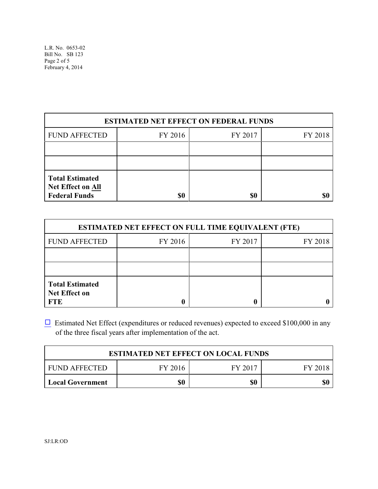| <b>ESTIMATED NET EFFECT ON FEDERAL FUNDS</b>                               |         |         |         |  |
|----------------------------------------------------------------------------|---------|---------|---------|--|
| <b>FUND AFFECTED</b>                                                       | FY 2016 | FY 2017 | FY 2018 |  |
|                                                                            |         |         |         |  |
|                                                                            |         |         |         |  |
| <b>Total Estimated</b><br><b>Net Effect on All</b><br><b>Federal Funds</b> | \$0     | \$0     |         |  |

| <b>ESTIMATED NET EFFECT ON FULL TIME EQUIVALENT (FTE)</b>    |         |         |         |  |
|--------------------------------------------------------------|---------|---------|---------|--|
| <b>FUND AFFECTED</b>                                         | FY 2016 | FY 2017 | FY 2018 |  |
|                                                              |         |         |         |  |
|                                                              |         |         |         |  |
| <b>Total Estimated</b><br><b>Net Effect on</b><br><b>FTE</b> |         |         |         |  |

 $\Box$  Estimated Net Effect (expenditures or reduced revenues) expected to exceed \$100,000 in any of the three fiscal years after implementation of the act.

| <b>ESTIMATED NET EFFECT ON LOCAL FUNDS</b> |         |         |         |  |
|--------------------------------------------|---------|---------|---------|--|
| <b>FUND AFFECTED</b>                       | FY 2016 | FY 2017 | FY 2018 |  |
| <b>Local Government</b>                    | \$0     | \$0     |         |  |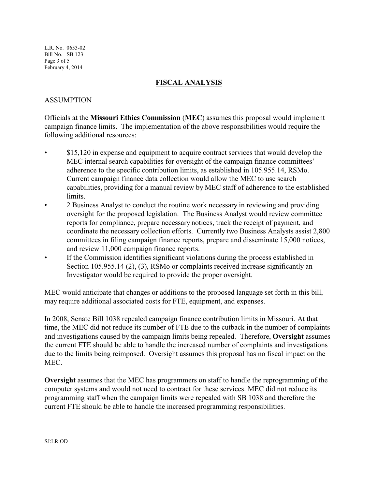L.R. No. 0653-02 Bill No. SB 123 Page 3 of 5 February 4, 2014

#### **FISCAL ANALYSIS**

### ASSUMPTION

Officials at the **Missouri Ethics Commission** (**MEC**) assumes this proposal would implement campaign finance limits. The implementation of the above responsibilities would require the following additional resources:

- \$15,120 in expense and equipment to acquire contract services that would develop the MEC internal search capabilities for oversight of the campaign finance committees' adherence to the specific contribution limits, as established in 105.955.14, RSMo. Current campaign finance data collection would allow the MEC to use search capabilities, providing for a manual review by MEC staff of adherence to the established limits.
- 2 Business Analyst to conduct the routine work necessary in reviewing and providing oversight for the proposed legislation. The Business Analyst would review committee reports for compliance, prepare necessary notices, track the receipt of payment, and coordinate the necessary collection efforts. Currently two Business Analysts assist 2,800 committees in filing campaign finance reports, prepare and disseminate 15,000 notices, and review 11,000 campaign finance reports.
- If the Commission identifies significant violations during the process established in Section 105.955.14 (2), (3), RSMo or complaints received increase significantly an Investigator would be required to provide the proper oversight.

MEC would anticipate that changes or additions to the proposed language set forth in this bill, may require additional associated costs for FTE, equipment, and expenses.

In 2008, Senate Bill 1038 repealed campaign finance contribution limits in Missouri. At that time, the MEC did not reduce its number of FTE due to the cutback in the number of complaints and investigations caused by the campaign limits being repealed. Therefore, **Oversight** assumes the current FTE should be able to handle the increased number of complaints and investigations due to the limits being reimposed. Oversight assumes this proposal has no fiscal impact on the MEC.

**Oversight** assumes that the MEC has programmers on staff to handle the reprogramming of the computer systems and would not need to contract for these services. MEC did not reduce its programming staff when the campaign limits were repealed with SB 1038 and therefore the current FTE should be able to handle the increased programming responsibilities.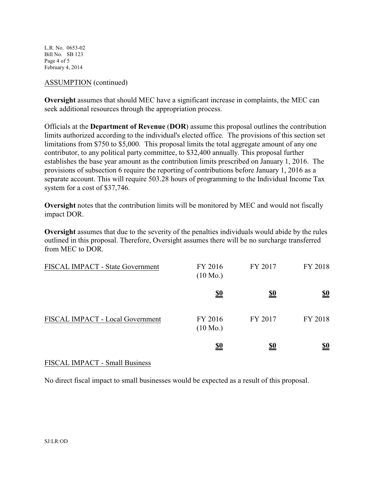L.R. No. 0653-02 Bill No. SB 123 Page 4 of 5 February 4, 2014

#### ASSUMPTION (continued)

**Oversight** assumes that should MEC have a significant increase in complaints, the MEC can seek additional resources through the appropriation process.

Officials at the **Department of Revenue** (**DOR**) assume this proposal outlines the contribution limits authorized according to the individual's elected office. The provisions of this section set limitations from \$750 to \$5,000. This proposal limits the total aggregate amount of any one contributor, to any political party committee, to \$32,400 annually. This proposal further establishes the base year amount as the contribution limits prescribed on January 1, 2016. The provisions of subsection 6 require the reporting of contributions before January 1, 2016 as a separate account. This will require 503.28 hours of programming to the Individual Income Tax system for a cost of \$37,746.

**Oversight** notes that the contribution limits will be monitored by MEC and would not fiscally impact DOR.

**Oversight** assumes that due to the severity of the penalties individuals would abide by the rules outlined in this proposal. Therefore, Oversight assumes there will be no surcharge transferred from MEC to DOR.

| FISCAL IMPACT - State Government | FY 2016<br>$(10 \text{ Mo.})$ | FY 2017    | FY 2018    |
|----------------------------------|-------------------------------|------------|------------|
|                                  | <u>\$0</u>                    | <u>\$0</u> | <u>\$0</u> |
| FISCAL IMPACT - Local Government | FY 2016<br>$(10 \text{ Mo.})$ | FY 2017    | FY 2018    |
|                                  | <u>\$0</u>                    | <u>\$0</u> | <u>\$0</u> |

## FISCAL IMPACT - Small Business

No direct fiscal impact to small businesses would be expected as a result of this proposal.